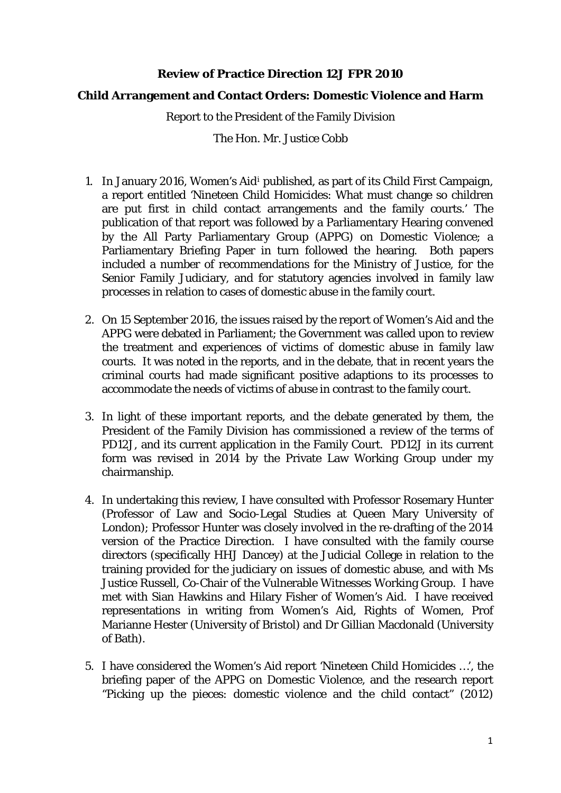## **Review of Practice Direction 12J FPR 2010**

### **Child Arrangement and Contact Orders: Domestic Violence and Harm**

Report to the President of the Family Division

The Hon. Mr. Justice Cobb

- 1. In January 2016, Women's A[i](#page-20-0)d<sup>i</sup> published, as part of its Child First Campaign, a report entitled 'Nineteen Child Homicides: What must change so children are put first in child contact arrangements and the family courts.' The publication of that report was followed by a Parliamentary Hearing convened by the All Party Parliamentary Group (APPG) on Domestic Violence; a Parliamentary Briefing Paper in turn followed the hearing. Both papers included a number of recommendations for the Ministry of Justice, for the Senior Family Judiciary, and for statutory agencies involved in family law processes in relation to cases of domestic abuse in the family court.
- 2. On 15 September 2016, the issues raised by the report of Women's Aid and the APPG were debated in Parliament; the Government was called upon to review the treatment and experiences of victims of domestic abuse in family law courts. It was noted in the reports, and in the debate, that in recent years the criminal courts had made significant positive adaptions to its processes to accommodate the needs of victims of abuse in contrast to the family court.
- 3. In light of these important reports, and the debate generated by them, the President of the Family Division has commissioned a review of the terms of PD12J, and its current application in the Family Court. PD12J in its current form was revised in 2014 by the Private Law Working Group under my chairmanship.
- 4. In undertaking this review, I have consulted with Professor Rosemary Hunter (Professor of Law and Socio-Legal Studies at Queen Mary University of London); Professor Hunter was closely involved in the re-drafting of the 2014 version of the Practice Direction. I have consulted with the family course directors (specifically HHJ Dancey) at the Judicial College in relation to the training provided for the judiciary on issues of domestic abuse, and with Ms Justice Russell, Co-Chair of the Vulnerable Witnesses Working Group. I have met with Sian Hawkins and Hilary Fisher of Women's Aid. I have received representations in writing from Women's Aid, Rights of Women, Prof Marianne Hester (University of Bristol) and Dr Gillian Macdonald (University of Bath).
- 5. I have considered the Women's Aid report 'Nineteen Child Homicides …', the briefing paper of the APPG on Domestic Violence, and the research report "Picking up the pieces: domestic violence and the child contact" (2012)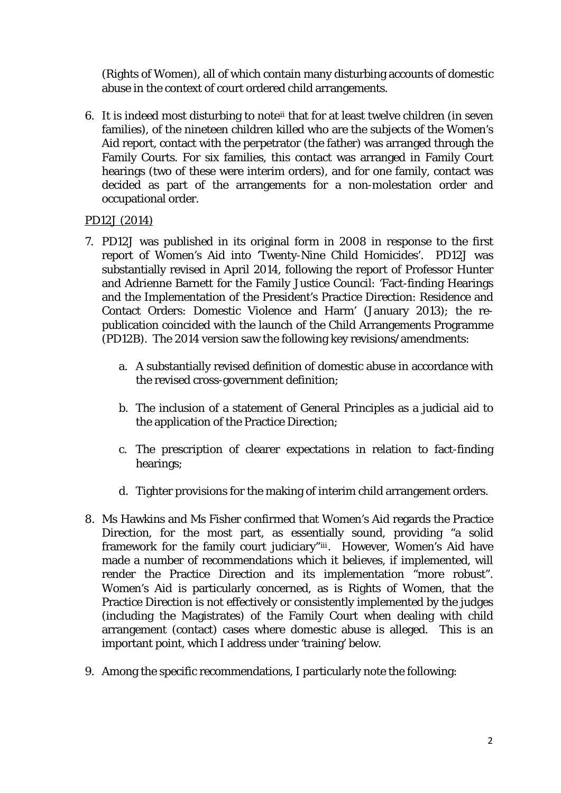(Rights of Women), all of which contain many disturbing accounts of domestic abuse in the context of court ordered child arrangements.

6. It is indeed most disturbing to note[ii](#page-20-1) that for at least twelve children (in seven families), of the nineteen children killed who are the subjects of the Women's Aid report, contact with the perpetrator (the father) was arranged through the Family Courts. For six families, this contact was arranged in Family Court hearings (two of these were interim orders), and for one family, contact was decided as part of the arrangements for a non-molestation order and occupational order.

## PD12J (2014)

- 7. PD12J was published in its original form in 2008 in response to the first report of Women's Aid into 'Twenty-Nine Child Homicides'. PD12J was substantially revised in April 2014, following the report of Professor Hunter and Adrienne Barnett for the Family Justice Council: 'Fact-finding Hearings and the Implementation of the President's Practice Direction: Residence and Contact Orders: Domestic Violence and Harm' (January 2013); the republication coincided with the launch of the Child Arrangements Programme (PD12B). The 2014 version saw the following key revisions/amendments:
	- a. A substantially revised definition of domestic abuse in accordance with the revised cross-government definition;
	- b. The inclusion of a statement of General Principles as a judicial aid to the application of the Practice Direction;
	- c. The prescription of clearer expectations in relation to fact-finding hearings;
	- d. Tighter provisions for the making of interim child arrangement orders.
- 8. Ms Hawkins and Ms Fisher confirmed that Women's Aid regards the Practice Direction, for the most part, as essentially sound, providing "a solid framework for the family court judiciary"[iii](#page-20-2). However, Women's Aid have made a number of recommendations which it believes, if implemented, will render the Practice Direction and its implementation "more robust". Women's Aid is particularly concerned, as is Rights of Women, that the Practice Direction is not effectively or consistently implemented by the judges (including the Magistrates) of the Family Court when dealing with child arrangement (contact) cases where domestic abuse is alleged. This is an important point, which I address under 'training' below.
- 9. Among the specific recommendations, I particularly note the following: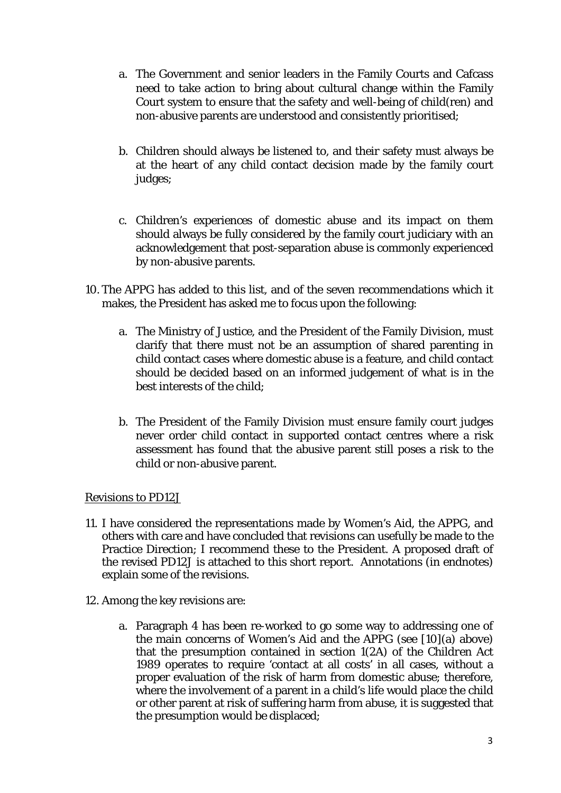- a. The Government and senior leaders in the Family Courts and Cafcass need to take action to bring about cultural change within the Family Court system to ensure that the safety and well-being of child(ren) and non-abusive parents are understood and consistently prioritised;
- b. Children should always be listened to, and their safety must always be at the heart of any child contact decision made by the family court judges;
- c. Children's experiences of domestic abuse and its impact on them should always be fully considered by the family court judiciary with an acknowledgement that post-separation abuse is commonly experienced by non-abusive parents.
- 10. The APPG has added to this list, and of the seven recommendations which it makes, the President has asked me to focus upon the following:
	- a. The Ministry of Justice, and the President of the Family Division, must clarify that there must not be an assumption of shared parenting in child contact cases where domestic abuse is a feature, and child contact should be decided based on an informed judgement of what is in the best interests of the child;
	- b. The President of the Family Division must ensure family court judges never order child contact in supported contact centres where a risk assessment has found that the abusive parent still poses a risk to the child or non-abusive parent.

# Revisions to PD12J

- 11. I have considered the representations made by Women's Aid, the APPG, and others with care and have concluded that revisions can usefully be made to the Practice Direction; I recommend these to the President. A proposed draft of the revised PD12J is attached to this short report. Annotations (in endnotes) explain some of the revisions.
- 12. Among the key revisions are:
	- a. Paragraph 4 has been re-worked to go some way to addressing one of the main concerns of Women's Aid and the APPG (see [10](a) above) that the presumption contained in *section 1(2A)* of the *Children Act 1989* operates to require 'contact at all costs' in all cases, without a proper evaluation of the risk of harm from domestic abuse; therefore, where the involvement of a parent in a child's life would place the child or other parent at risk of suffering harm from abuse, it is suggested that the presumption would be displaced;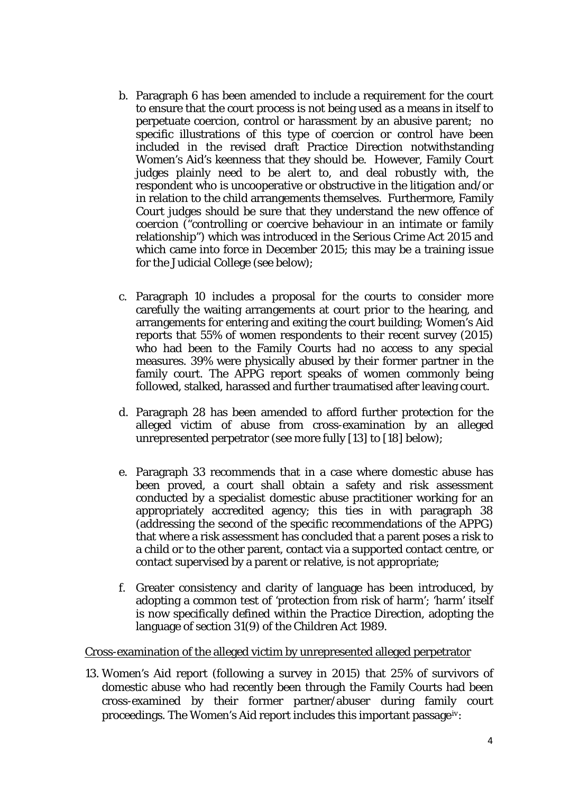- b. Paragraph 6 has been amended to include a requirement for the court to ensure that the court process is not being used as a means in itself to perpetuate coercion, control or harassment by an abusive parent; no specific illustrations of this type of coercion or control have been included in the revised draft Practice Direction notwithstanding Women's Aid's keenness that they should be. However, Family Court judges plainly need to be alert to, and deal robustly with, the respondent who is uncooperative or obstructive in the litigation and/or in relation to the child arrangements themselves. Furthermore, Family Court judges should be sure that they understand the new offence of coercion ("controlling or coercive behaviour in an intimate or family relationship") which was introduced in the *Serious Crime Act 2015* and which came into force in December 2015; this may be a training issue for the Judicial College (see below);
- c. Paragraph 10 includes a proposal for the courts to consider more carefully the waiting arrangements at court prior to the hearing, and arrangements for entering and exiting the court building; Women's Aid reports that 55% of women respondents to their recent survey (2015) who had been to the Family Courts had no access to any special measures. 39% were physically abused by their former partner in the family court. The APPG report speaks of women commonly being followed, stalked, harassed and further traumatised after leaving court.
- d. Paragraph 28 has been amended to afford further protection for the alleged victim of abuse from cross-examination by an alleged unrepresented perpetrator (see more fully [13] to [18] below);
- e. Paragraph 33 recommends that in a case where domestic abuse has been proved, a court shall obtain a safety and risk assessment conducted by a specialist domestic abuse practitioner working for an appropriately accredited agency; this ties in with paragraph 38 (addressing the second of the specific recommendations of the APPG) that where a risk assessment has concluded that a parent poses a risk to a child or to the other parent, contact via a supported contact centre, or contact supervised by a parent or relative, is not appropriate;
- f. Greater consistency and clarity of language has been introduced, by adopting a common test of 'protection from risk of harm'; 'harm' itself is now specifically defined within the Practice Direction, adopting the language of *section 31(9)* of the *Children Act 1989*.

### Cross-examination of the alleged victim by unrepresented alleged perpetrator

13. Women's Aid report (following a survey in 2015) that 25% of survivors of domestic abuse who had recently been through the Family Courts had been cross-examined by their former partner/abuser during family court proceedings. The Women's Aid report includes this important passage<sup>[iv](#page-20-3)</sup>: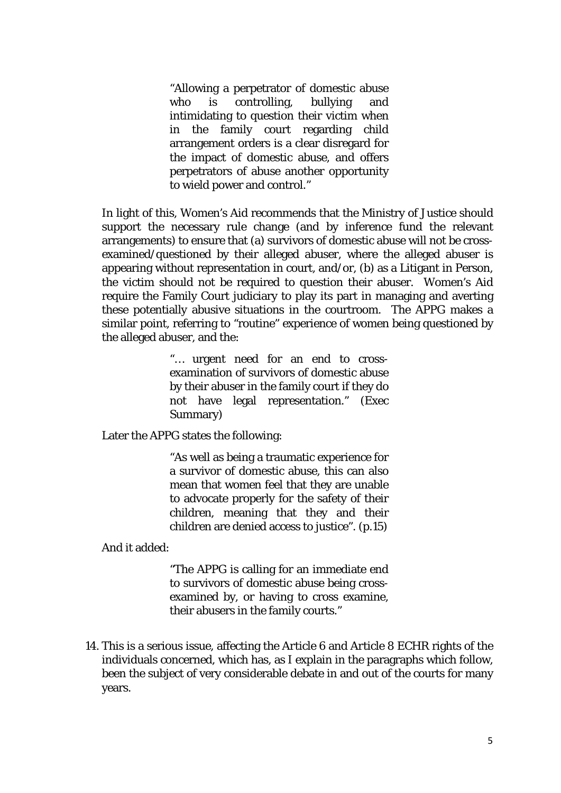"Allowing a perpetrator of domestic abuse who is controlling, bullying and intimidating to question their victim when in the family court regarding child arrangement orders is a clear disregard for the impact of domestic abuse, and offers perpetrators of abuse another opportunity to wield power and control."

In light of this, Women's Aid recommends that the Ministry of Justice should support the necessary rule change (and by inference fund the relevant arrangements) to ensure that (a) survivors of domestic abuse will not be crossexamined/questioned by their alleged abuser, where the alleged abuser is appearing without representation in court, and/or, (b) as a Litigant in Person, the victim should not be required to question their abuser. Women's Aid require the Family Court judiciary to play its part in managing and averting these potentially abusive situations in the courtroom. The APPG makes a similar point, referring to "routine" experience of women being questioned by the alleged abuser, and the:

> "… urgent need for an end to crossexamination of survivors of domestic abuse by their abuser in the family court if they do not have legal representation." (Exec Summary)

Later the APPG states the following:

"As well as being a traumatic experience for a survivor of domestic abuse, this can also mean that women feel that they are unable to advocate properly for the safety of their children, meaning that they and their children are denied access to justice". (p.15)

And it added:

"The APPG is calling for an immediate end to survivors of domestic abuse being crossexamined by, or having to cross examine, their abusers in the family courts."

14. This is a serious issue, affecting the *Article 6* and *Article 8 ECHR* rights of the individuals concerned, which has, as I explain in the paragraphs which follow, been the subject of very considerable debate in and out of the courts for many years.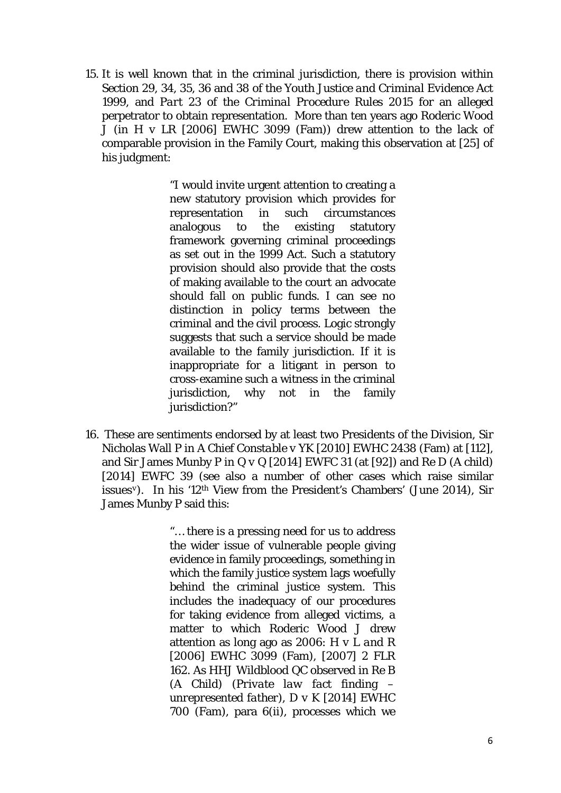15. It is well known that in the criminal jurisdiction, there is provision within *Section 29, 34, 35, 36* and *38* of the *Youth Justice and Criminal Evidence Act 1999*, and *Part 23* of the *Criminal Procedure Rules 2015* for an alleged perpetrator to obtain representation. More than ten years ago Roderic Wood J (in *H v LR* [2006] EWHC 3099 (Fam)) drew attention to the lack of comparable provision in the Family Court, making this observation at [25] of his judgment:

> "I would invite urgent attention to creating a new statutory provision which provides for representation in such circumstances analogous to the existing statutory framework governing criminal proceedings as set out in the 1999 Act. Such a statutory provision should also provide that the costs of making available to the court an advocate should fall on public funds. I can see no distinction in policy terms between the criminal and the civil process. Logic strongly suggests that such a service should be made available to the family jurisdiction. If it is inappropriate for a litigant in person to cross-examine such a witness in the criminal jurisdiction, why not in the family jurisdiction?"

16. These are sentiments endorsed by at least two Presidents of the Division, Sir Nicholas Wall P in *A Chief Constable v YK* [2010] EWHC 2438 (Fam) at [112], and Sir James Munby P in *Q v Q* [2014] EWFC 31 (at [92]) and *Re D (A child)* [2014] EWFC 39 (see also a number of other cases which raise similar issues[v](#page-21-0)). In his '12th View from the President's Chambers' (June 2014), Sir James Munby P said this:

> "… there is a pressing need for us to address the wider issue of vulnerable people giving evidence in family proceedings, something in which the family justice system lags woefully behind the criminal justice system. This includes the inadequacy of our procedures for taking evidence from alleged victims, a matter to which Roderic Wood J drew attention as long ago as 2006: *H v L and R*  [2006] EWHC 3099 (Fam), [2007] 2 FLR 162. As HHJ Wildblood QC observed in *Re B (A Child) (Private law fact finding – unrepresented father), D v K* [2014] EWHC 700 (Fam), para 6(ii), processes which we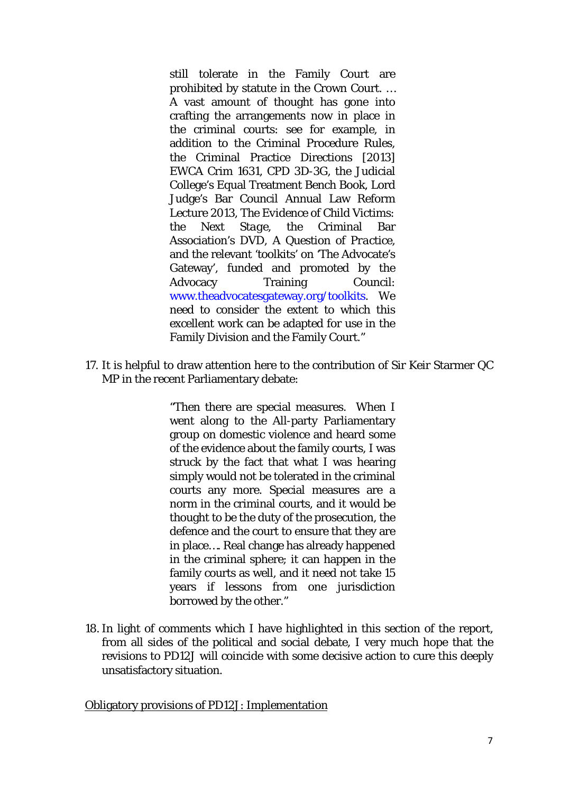still tolerate in the Family Court are prohibited by statute in the Crown Court. … A vast amount of thought has gone into crafting the arrangements now in place in the criminal courts: see for example, in addition to the Criminal Procedure Rules, the Criminal Practice Directions [2013] EWCA Crim 1631, CPD 3D-3G, the Judicial College's Equal Treatment Bench Book, Lord Judge's Bar Council Annual Law Reform Lecture 2013, *The Evidence of Child Victims: the Next Stage*, the Criminal Bar Association's DVD, *A Question of Practice*, and the relevant 'toolkits' on 'The Advocate's Gateway', funded and promoted by the Advocacy Training Council: www.theadvocatesgateway.org/toolkits. We need to consider the extent to which this excellent work can be adapted for use in the Family Division and the Family Court."

17. It is helpful to draw attention here to the contribution of Sir Keir Starmer QC MP in the recent Parliamentary debate:

> "Then there are special measures. When I went along to the All-party Parliamentary group on domestic violence and heard some of the evidence about the family courts, I was struck by the fact that what I was hearing simply would not be tolerated in the criminal courts any more. Special measures are a norm in the criminal courts, and it would be thought to be the duty of the prosecution, the defence and the court to ensure that they are in place…. Real change has already happened in the criminal sphere; it can happen in the family courts as well, and it need not take 15 years if lessons from one jurisdiction borrowed by the other."

18. In light of comments which I have highlighted in this section of the report, from all sides of the political and social debate, I very much hope that the revisions to PD12J will coincide with some decisive action to cure this deeply unsatisfactory situation.

Obligatory provisions of PD12J: Implementation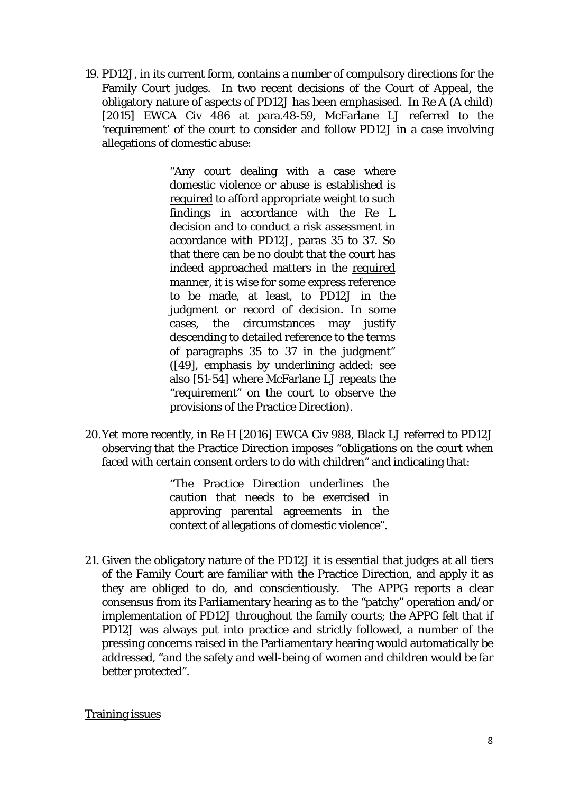19. PD12J, in its current form, contains a number of compulsory directions for the Family Court judges. In two recent decisions of the Court of Appeal, the obligatory nature of aspects of PD12J has been emphasised. In *Re A (A child)* [2015] EWCA Civ 486 at para.48-59, McFarlane LJ referred to the 'requirement' of the court to consider and follow PD12J in a case involving allegations of domestic abuse:

> "Any court dealing with a case where domestic violence or abuse is established is required to afford appropriate weight to such findings in accordance with the *Re L* decision and to conduct a risk assessment in accordance with PD12J, paras 35 to 37. So that there can be no doubt that the court has indeed approached matters in the required manner, it is wise for some express reference to be made, at least, to PD12J in the judgment or record of decision. In some cases, the circumstances may justify descending to detailed reference to the terms of paragraphs 35 to 37 in the judgment" ([49], emphasis by underlining added: see also [51-54] where McFarlane LJ repeats the "requirement" on the court to observe the provisions of the Practice Direction).

20.Yet more recently, in *Re H* [2016] EWCA Civ 988, Black LJ referred to PD12J observing that the Practice Direction imposes "obligations on the court when faced with certain consent orders to do with children" and indicating that:

> "The Practice Direction underlines the caution that needs to be exercised in approving parental agreements in the context of allegations of domestic violence".

21. Given the obligatory nature of the PD12J it is essential that judges at all tiers of the Family Court are familiar with the Practice Direction, and apply it as they are obliged to do, and conscientiously. The APPG reports a clear consensus from its Parliamentary hearing as to the "patchy" operation and/or implementation of PD12J throughout the family courts; the APPG felt that if PD12J was always put into practice and strictly followed, a number of the pressing concerns raised in the Parliamentary hearing would automatically be addressed, "and the safety and well-being of women and children would be far better protected".

### **Training issues**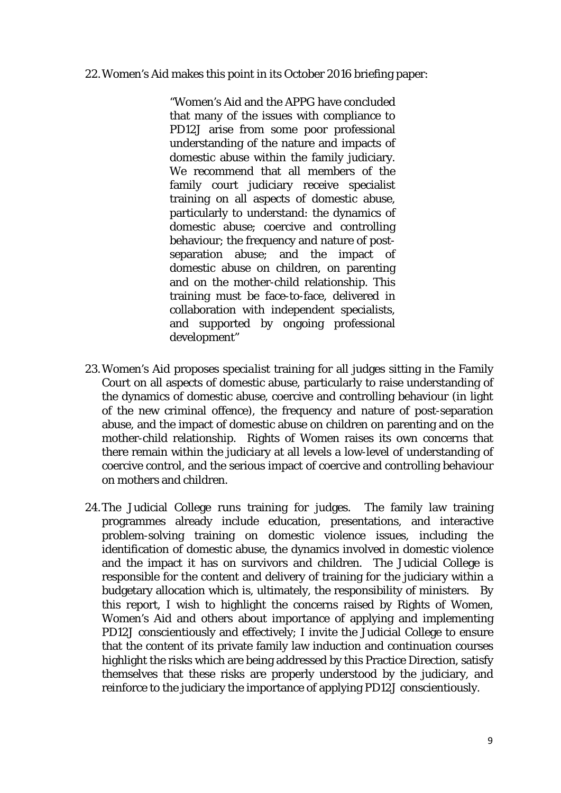### 22.Women's Aid makes this point in its October 2016 briefing paper:

"Women's Aid and the APPG have concluded that many of the issues with compliance to PD12J arise from some poor professional understanding of the nature and impacts of domestic abuse within the family judiciary. We recommend that all members of the family court judiciary receive specialist training on all aspects of domestic abuse, particularly to understand: the dynamics of domestic abuse; coercive and controlling behaviour; the frequency and nature of postseparation abuse; and the impact of domestic abuse on children, on parenting and on the mother-child relationship. This training must be face-to-face, delivered in collaboration with independent specialists, and supported by ongoing professional development"

- 23.Women's Aid proposes *specialist* training for all judges sitting in the Family Court on all aspects of domestic abuse, particularly to raise understanding of the dynamics of domestic abuse, coercive and controlling behaviour (in light of the new criminal offence), the frequency and nature of post-separation abuse, and the impact of domestic abuse on children on parenting and on the mother-child relationship. Rights of Women raises its own concerns that there remain within the judiciary at all levels a low-level of understanding of coercive control, and the serious impact of coercive and controlling behaviour on mothers and children.
- 24.The Judicial College runs training for judges. The family law training programmes already include education, presentations, and interactive problem-solving training on domestic violence issues, including the identification of domestic abuse, the dynamics involved in domestic violence and the impact it has on survivors and children. The Judicial College is responsible for the content and delivery of training for the judiciary within a budgetary allocation which is, ultimately, the responsibility of ministers. By this report, I wish to highlight the concerns raised by Rights of Women, Women's Aid and others about importance of applying and implementing PD12J conscientiously and effectively; I invite the Judicial College to ensure that the content of its private family law induction and continuation courses highlight the risks which are being addressed by this Practice Direction, satisfy themselves that these risks are properly understood by the judiciary, and reinforce to the judiciary the importance of applying PD12J conscientiously.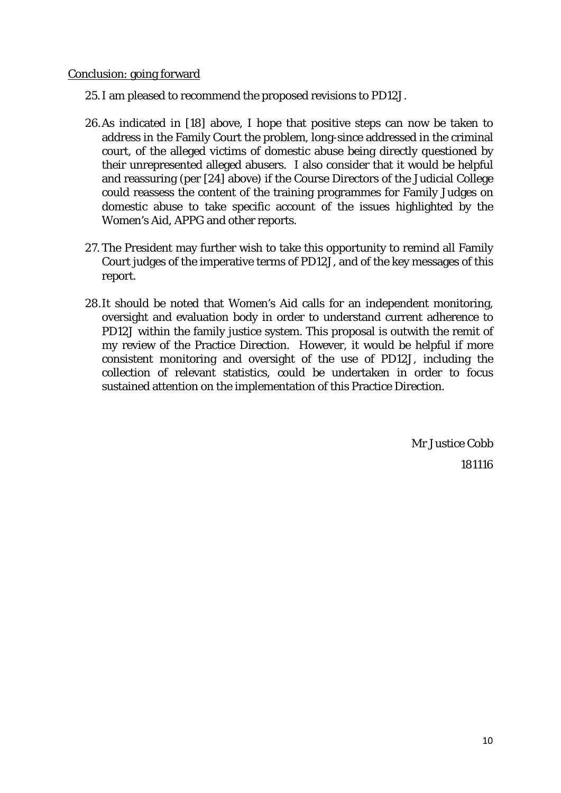Conclusion: going forward

25.I am pleased to recommend the proposed revisions to PD12J.

- 26.As indicated in [18] above, I hope that positive steps can now be taken to address in the Family Court the problem, long-since addressed in the criminal court, of the alleged victims of domestic abuse being directly questioned by their unrepresented alleged abusers. I also consider that it would be helpful and reassuring (per [24] above) if the Course Directors of the Judicial College could reassess the content of the training programmes for Family Judges on domestic abuse to take specific account of the issues highlighted by the Women's Aid, APPG and other reports.
- 27. The President may further wish to take this opportunity to remind all Family Court judges of the imperative terms of PD12J, and of the key messages of this report.
- 28.It should be noted that Women's Aid calls for an independent monitoring, oversight and evaluation body in order to understand current adherence to PD12J within the family justice system. This proposal is outwith the remit of my review of the Practice Direction. However, it would be helpful if more consistent monitoring and oversight of the use of PD12J, including the collection of relevant statistics, could be undertaken in order to focus sustained attention on the implementation of this Practice Direction.

Mr Justice Cobb 181116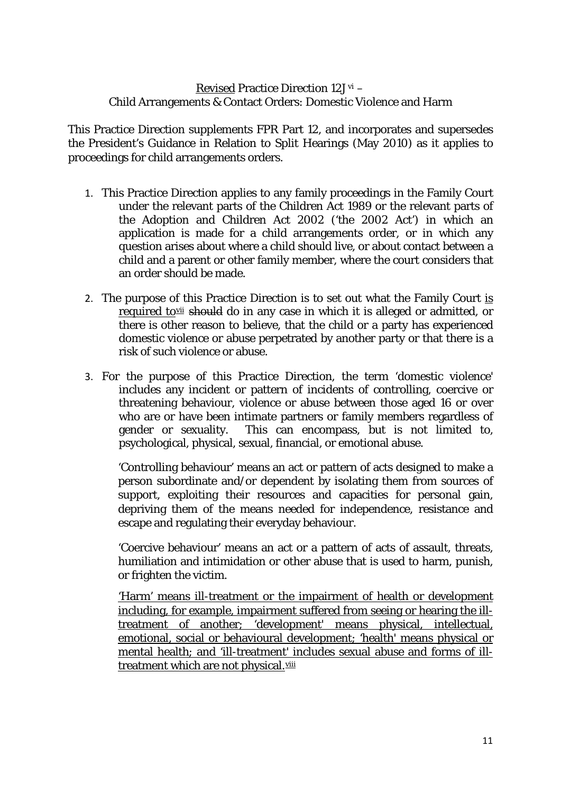# Revised Practice Direction 12J[vi](#page-21-1) – Child Arrangements & Contact Orders: Domestic Violence and Harm

This Practice Direction supplements FPR Part 12, and incorporates and supersedes the President's Guidance in Relation to Split Hearings (May 2010) as it applies to proceedings for child arrangements orders.

- 1. This Practice Direction applies to any family proceedings in the Family Court under the relevant parts of the Children Act 1989 or the relevant parts of the Adoption and Children Act 2002 ('the 2002 Act') in which an application is made for a child arrangements order, or in which any question arises about where a child should live, or about contact between a child and a parent or other family member, where the court considers that an order should be made.
- 2. The purpose of this Practice Direction is to set out what the Family Court is required to<sup>[vii](#page-21-2)</sup> should do in any case in which it is alleged or admitted, or there is other reason to believe, that the child or a party has experienced domestic violence or abuse perpetrated by another party or that there is a risk of such violence or abuse.
- 3. For the purpose of this Practice Direction, the term 'domestic violence' includes any incident or pattern of incidents of controlling, coercive or threatening behaviour, violence or abuse between those aged 16 or over who are or have been intimate partners or family members regardless of gender or sexuality. This can encompass, but is not limited to, psychological, physical, sexual, financial, or emotional abuse.

'Controlling behaviour' means an act or pattern of acts designed to make a person subordinate and/or dependent by isolating them from sources of support, exploiting their resources and capacities for personal gain, depriving them of the means needed for independence, resistance and escape and regulating their everyday behaviour.

'Coercive behaviour' means an act or a pattern of acts of assault, threats, humiliation and intimidation or other abuse that is used to harm, punish, or frighten the victim.

'Harm' means ill-treatment or the impairment of health or development including, for example, impairment suffered from seeing or hearing the illtreatment of another; 'development' means physical, intellectual, emotional, social or behavioural development; 'health' means physical or mental health; and 'ill-treatment' includes sexual abuse and forms of illtreatment which are not physical. [viii](#page-21-3)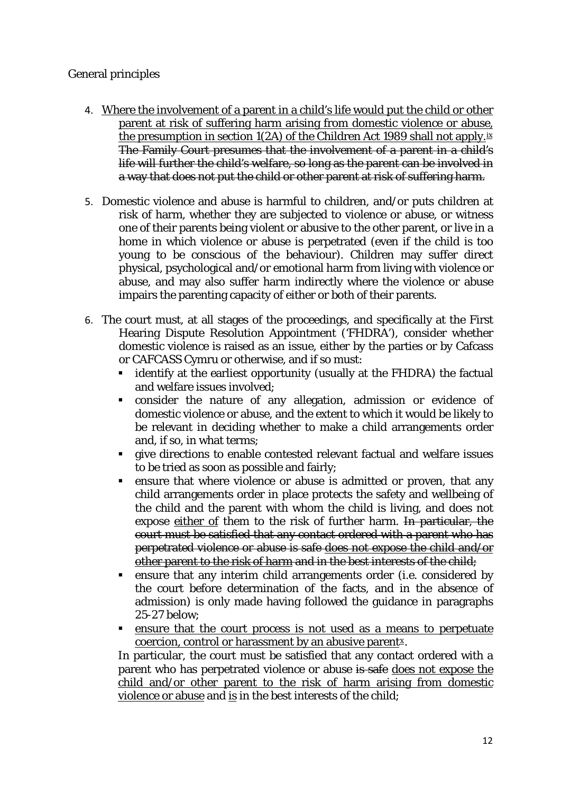## General principles

- 4. Where the involvement of a parent in a child's life would put the child or other parent at risk of suffering harm arising from domestic violence or abuse, the presumption in section 1(2A) of the Children Act 1989 shall not apply.  $\frac{1}{x}$ The Family Court presumes that the involvement of a parent in a child's life will further the child's welfare, so long as the parent can be involved in a way that does not put the child or other parent at risk of suffering harm.
- 5. Domestic violence and abuse is harmful to children, and/or puts children at risk of harm, whether they are subjected to violence or abuse, or witness one of their parents being violent or abusive to the other parent, or live in a home in which violence or abuse is perpetrated (even if the child is too young to be conscious of the behaviour). Children may suffer direct physical, psychological and/or emotional harm from living with violence or abuse, and may also suffer harm indirectly where the violence or abuse impairs the parenting capacity of either or both of their parents.
- 6. The court must, at all stages of the proceedings, and specifically at the First Hearing Dispute Resolution Appointment ('FHDRA'), consider whether domestic violence is raised as an issue, either by the parties or by Cafcass or CAFCASS Cymru or otherwise, and if so must:
	- identify at the earliest opportunity (usually at the FHDRA) the factual and welfare issues involved;
	- consider the nature of any allegation, admission or evidence of domestic violence or abuse, and the extent to which it would be likely to be relevant in deciding whether to make a child arrangements order and, if so, in what terms;
	- give directions to enable contested relevant factual and welfare issues to be tried as soon as possible and fairly;
	- ensure that where violence or abuse is admitted or proven, that any child arrangements order in place protects the safety and wellbeing of the child and the parent with whom the child is living, and does not expose either of them to the risk of further harm. In particular, the court must be satisfied that any contact ordered with a parent who has perpetrated violence or abuse is safe does not expose the child and/or other parent to the risk of harm and in the best interests of the child;
	- ensure that any interim child arrangements order (i.e. considered by the court before determination of the facts, and in the absence of admission) is only made having followed the guidance in paragraphs 25-27 below;
	- ensure that the court process is not used as a means to perpetuate coercion, control or harassment by an abusive parent<sup>[x](#page-21-5)</sup>.

In particular, the court must be satisfied that any contact ordered with a parent who has perpetrated violence or abuse is safe does not expose the child and/or other parent to the risk of harm arising from domestic violence or abuse and is in the best interests of the child;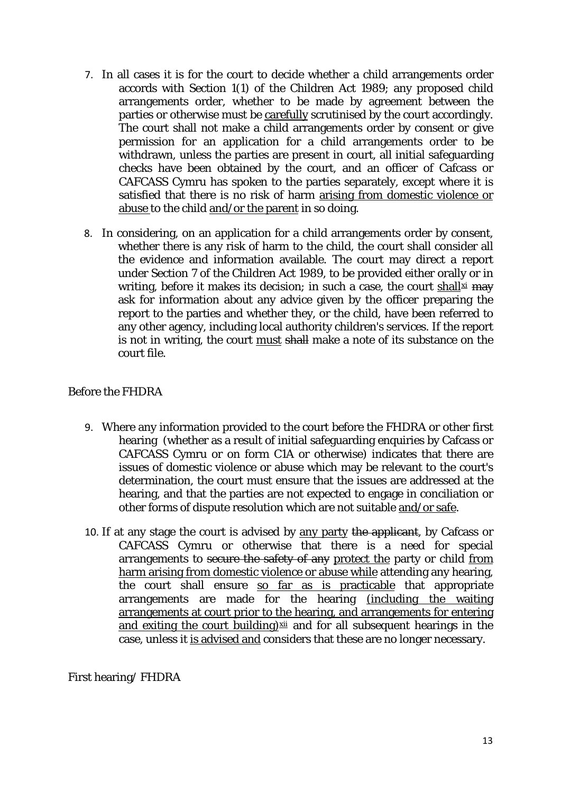- 7. In all cases it is for the court to decide whether a child arrangements order accords with Section 1(1) of the Children Act 1989; any proposed child arrangements order, whether to be made by agreement between the parties or otherwise must be carefully scrutinised by the court accordingly. The court shall not make a child arrangements order by consent or give permission for an application for a child arrangements order to be withdrawn, unless the parties are present in court, all initial safeguarding checks have been obtained by the court, and an officer of Cafcass or CAFCASS Cymru has spoken to the parties separately, except where it is satisfied that there is no risk of harm arising from domestic violence or abuse to the child and/or the parent in so doing.
- 8. In considering, on an application for a child arrangements order by consent, whether there is any risk of harm to the child, the court shall consider all the evidence and information available. The court may direct a report under Section 7 of the Children Act 1989, to be provided either orally or in writing, before it makes its decision; in such a case, the court shall  $\frac{d}{dx}$  may ask for information about any advice given by the officer preparing the report to the parties and whether they, or the child, have been referred to any other agency, including local authority children's services. If the report is not in writing, the court must shall make a note of its substance on the court file.

### Before the FHDRA

- 9. Where any information provided to the court before the FHDRA or other first hearing (whether as a result of initial safeguarding enquiries by Cafcass or CAFCASS Cymru or on form C1A or otherwise) indicates that there are issues of domestic violence or abuse which may be relevant to the court's determination, the court must ensure that the issues are addressed at the hearing, and that the parties are not expected to engage in conciliation or other forms of dispute resolution which are not suitable and/or safe.
- 10. If at any stage the court is advised by any party the applicant, by Cafcass or CAFCASS Cymru or otherwise that there is a need for special arrangements to secure the safety of any protect the party or child from harm arising from domestic violence or abuse while attending any hearing, the court shall ensure so far as is practicable that appropriate arrangements are made for the hearing (including the waiting arrangements at court prior to the hearing, and arrangements for entering and exiting the court building) $xii$  and for all subsequent hearings in the case, unless it is advised and considers that these are no longer necessary.

First hearing/ FHDRA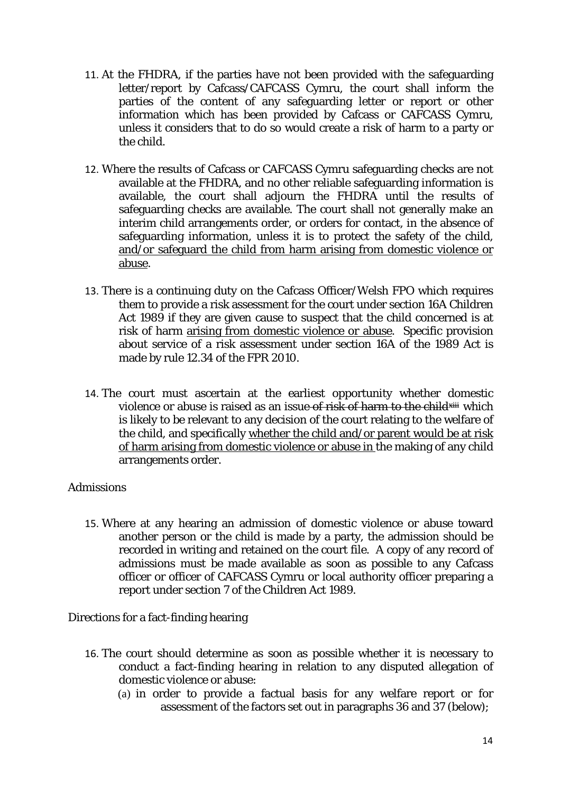- 11. At the FHDRA, if the parties have not been provided with the safeguarding letter/report by Cafcass/CAFCASS Cymru, the court shall inform the parties of the content of any safeguarding letter or report or other information which has been provided by Cafcass or CAFCASS Cymru, unless it considers that to do so would create a risk of harm to a party or the child.
- 12. Where the results of Cafcass or CAFCASS Cymru safeguarding checks are not available at the FHDRA, and no other reliable safeguarding information is available, the court shall adjourn the FHDRA until the results of safeguarding checks are available. The court shall not generally make an interim child arrangements order, or orders for contact, in the absence of safeguarding information, unless it is to protect the safety of the child, and/or safeguard the child from harm arising from domestic violence or abuse.
- 13. There is a continuing duty on the Cafcass Officer/Welsh FPO which requires them to provide a risk assessment for the court under section 16A Children Act 1989 if they are given cause to suspect that the child concerned is at risk of harm arising from domestic violence or abuse. Specific provision about service of a risk assessment under section 16A of the 1989 Act is made by rule 12.34 of the FPR 2010.
- 14. The court must ascertain at the earliest opportunity whether domestic violence or abuse is raised as an issue of risk of harm to the child  $\ddot{m}$  which is likely to be relevant to any decision of the court relating to the welfare of the child, and specifically whether the child and/or parent would be at risk of harm arising from domestic violence or abuse in the making of any child arrangements order.

## Admissions

15. Where at any hearing an admission of domestic violence or abuse toward another person or the child is made by a party, the admission should be recorded in writing and retained on the court file. A copy of any record of admissions must be made available as soon as possible to any Cafcass officer or officer of CAFCASS Cymru or local authority officer preparing a report under section 7 of the Children Act 1989.

Directions for a fact-finding hearing

- 16. The court should determine as soon as possible whether it is necessary to conduct a fact-finding hearing in relation to any disputed allegation of domestic violence or abuse:
	- (a) in order to provide a factual basis for any welfare report or for assessment of the factors set out in paragraphs 36 and 37 (below);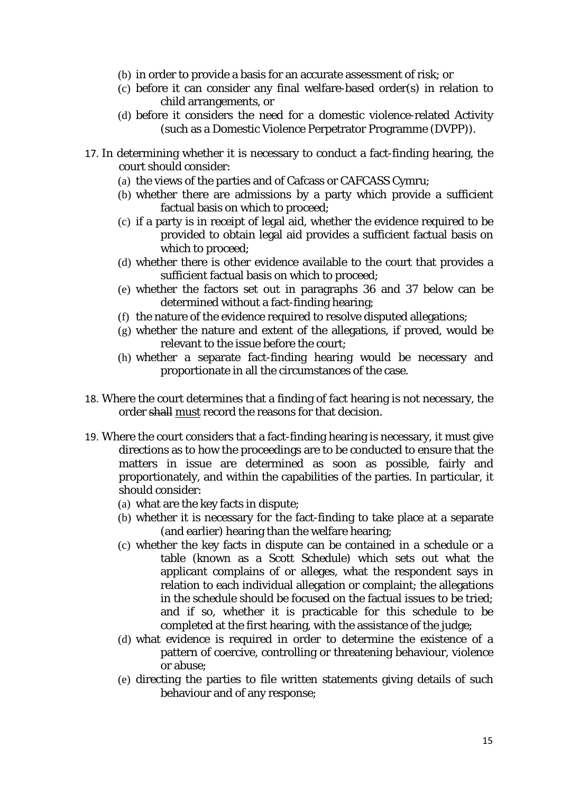- (b) in order to provide a basis for an accurate assessment of risk; or
- (c) before it can consider any final welfare-based order(s) in relation to child arrangements, or
- (d) before it considers the need for a domestic violence-related Activity (such as a Domestic Violence Perpetrator Programme (DVPP)).
- 17. In determining whether it is necessary to conduct a fact-finding hearing, the court should consider:
	- (a) the views of the parties and of Cafcass or CAFCASS Cymru;
	- (b) whether there are admissions by a party which provide a sufficient factual basis on which to proceed;
	- (c) if a party is in receipt of legal aid, whether the evidence required to be provided to obtain legal aid provides a sufficient factual basis on which to proceed;
	- (d) whether there is other evidence available to the court that provides a sufficient factual basis on which to proceed;
	- (e) whether the factors set out in paragraphs 36 and 37 below can be determined without a fact-finding hearing;
	- (f) the nature of the evidence required to resolve disputed allegations;
	- (g) whether the nature and extent of the allegations, if proved, would be relevant to the issue before the court;
	- (h) whether a separate fact-finding hearing would be necessary and proportionate in all the circumstances of the case.
- 18. Where the court determines that a finding of fact hearing is not necessary, the order shall must record the reasons for that decision.
- 19. Where the court considers that a fact-finding hearing is necessary, it must give directions as to how the proceedings are to be conducted to ensure that the matters in issue are determined as soon as possible, fairly and proportionately, and within the capabilities of the parties. In particular, it should consider:
	- (a) what are the key facts in dispute;
	- (b) whether it is necessary for the fact-finding to take place at a separate (and earlier) hearing than the welfare hearing;
	- (c) whether the key facts in dispute can be contained in a schedule or a table (known as a Scott Schedule) which sets out what the applicant complains of or alleges, what the respondent says in relation to each individual allegation or complaint; the allegations in the schedule should be focused on the factual issues to be tried; and if so, whether it is practicable for this schedule to be completed at the first hearing, with the assistance of the judge;
	- (d) what evidence is required in order to determine the existence of a pattern of coercive, controlling or threatening behaviour, violence or abuse;
	- (e) directing the parties to file written statements giving details of such behaviour and of any response;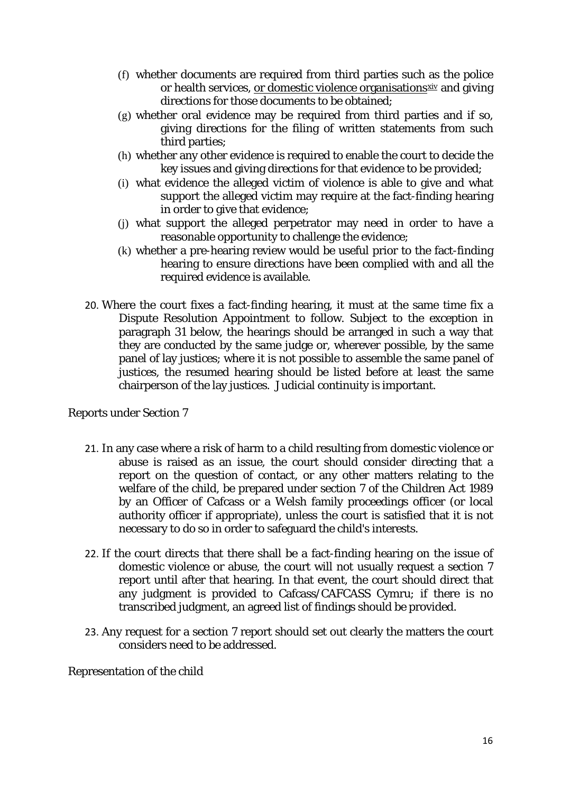- (f) whether documents are required from third parties such as the police or health services, or domestic violence organisations[xiv](#page-21-9) and giving directions for those documents to be obtained;
- (g) whether oral evidence may be required from third parties and if so, giving directions for the filing of written statements from such third parties;
- (h) whether any other evidence is required to enable the court to decide the key issues and giving directions for that evidence to be provided;
- (i) what evidence the alleged victim of violence is able to give and what support the alleged victim may require at the fact-finding hearing in order to give that evidence;
- (j) what support the alleged perpetrator may need in order to have a reasonable opportunity to challenge the evidence;
- (k) whether a pre-hearing review would be useful prior to the fact-finding hearing to ensure directions have been complied with and all the required evidence is available.
- 20. Where the court fixes a fact-finding hearing, it must at the same time fix a Dispute Resolution Appointment to follow. Subject to the exception in paragraph 31 below, the hearings should be arranged in such a way that they are conducted by the same judge or, wherever possible, by the same panel of lay justices; where it is not possible to assemble the same panel of justices, the resumed hearing should be listed before at least the same chairperson of the lay justices. Judicial continuity is important.

## Reports under Section 7

- 21. In any case where a risk of harm to a child resulting from domestic violence or abuse is raised as an issue, the court should consider directing that a report on the question of contact, or any other matters relating to the welfare of the child, be prepared under section 7 of the Children Act 1989 by an Officer of Cafcass or a Welsh family proceedings officer (or local authority officer if appropriate), unless the court is satisfied that it is not necessary to do so in order to safeguard the child's interests.
- 22. If the court directs that there shall be a fact-finding hearing on the issue of domestic violence or abuse, the court will not usually request a section 7 report until after that hearing. In that event, the court should direct that any judgment is provided to Cafcass/CAFCASS Cymru; if there is no transcribed judgment, an agreed list of findings should be provided.
- 23. Any request for a section 7 report should set out clearly the matters the court considers need to be addressed.

### Representation of the child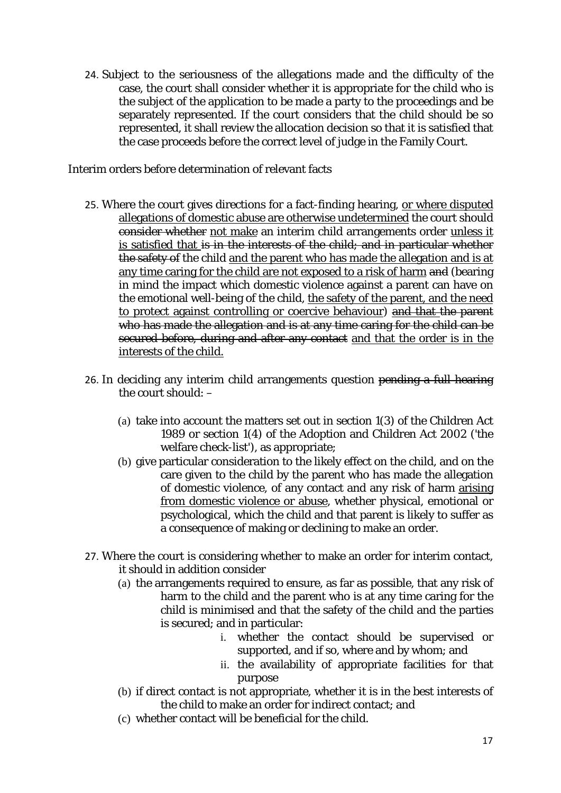24. Subject to the seriousness of the allegations made and the difficulty of the case, the court shall consider whether it is appropriate for the child who is the subject of the application to be made a party to the proceedings and be separately represented. If the court considers that the child should be so represented, it shall review the allocation decision so that it is satisfied that the case proceeds before the correct level of judge in the Family Court.

Interim orders before determination of relevant facts

- 25. Where the court gives directions for a fact-finding hearing, or where disputed allegations of domestic abuse are otherwise undetermined the court should consider whether not make an interim child arrangements order unless it is satisfied that is in the interests of the child; and in particular whether the safety of the child and the parent who has made the allegation and is at any time caring for the child are not exposed to a risk of harm and (bearing in mind the impact which domestic violence against a parent can have on the emotional well-being of the child, the safety of the parent, and the need to protect against controlling or coercive behaviour) and that the parent who has made the allegation and is at any time caring for the child can be secured before, during and after any contact and that the order is in the interests of the child.
- 26. In deciding any interim child arrangements question pending a full hearing the court should: –
	- (a) take into account the matters set out in section 1(3) of the Children Act 1989 or section 1(4) of the Adoption and Children Act 2002 ('the welfare check-list'), as appropriate;
	- (b) give particular consideration to the likely effect on the child, and on the care given to the child by the parent who has made the allegation of domestic violence, of any contact and any risk of harm arising from domestic violence or abuse, whether physical, emotional or psychological, which the child and that parent is likely to suffer as a consequence of making or declining to make an order.
- 27. Where the court is considering whether to make an order for interim contact, it should in addition consider
	- (a) the arrangements required to ensure, as far as possible, that any risk of harm to the child and the parent who is at any time caring for the child is minimised and that the safety of the child and the parties is secured; and in particular:
		- i. whether the contact should be supervised or supported, and if so, where and by whom; and
		- ii. the availability of appropriate facilities for that purpose
	- (b) if direct contact is not appropriate, whether it is in the best interests of the child to make an order for indirect contact; and
	- (c) whether contact will be beneficial for the child.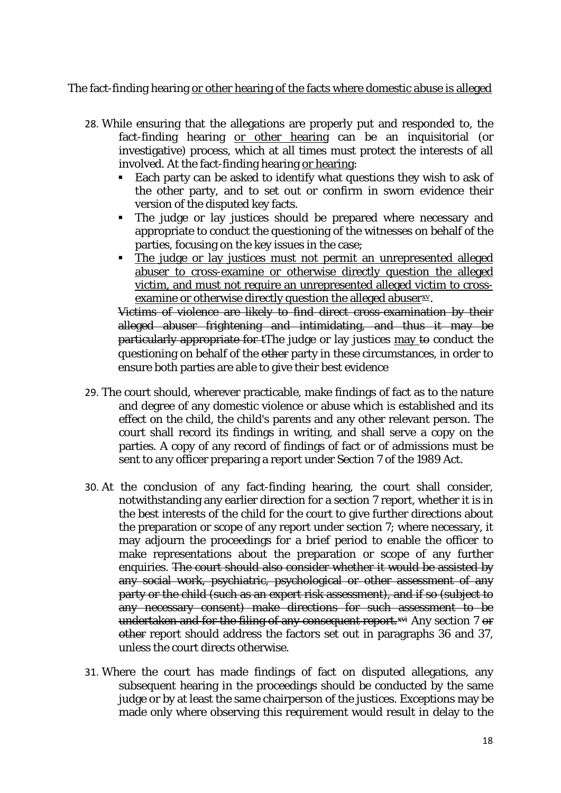## The fact-finding hearing or other hearing of the facts where domestic abuse is alleged

- 28. While ensuring that the allegations are properly put and responded to, the fact-finding hearing or other hearing can be an inquisitorial (or investigative) process, which at all times must protect the interests of all involved. At the fact-finding hearing or hearing:
	- Each party can be asked to identify what questions they wish to ask of the other party, and to set out or confirm in sworn evidence their version of the disputed key facts.
	- The judge or lay justices should be prepared where necessary and appropriate to conduct the questioning of the witnesses on behalf of the parties, focusing on the key issues in the case;
	- The judge or lay justices must not permit an unrepresented alleged abuser to cross-examine or otherwise directly question the alleged victim, and must not require an unrepresented alleged victim to crossexamine or otherwise directly question the alleged abuser $x$ .

Victims of violence are likely to find direct cross-examination by their alleged abuser frightening and intimidating, and thus it may be particularly appropriate for tThe judge or lay justices may to conduct the questioning on behalf of the other party in these circumstances, in order to ensure both parties are able to give their best evidence

- 29. The court should, wherever practicable, make findings of fact as to the nature and degree of any domestic violence or abuse which is established and its effect on the child, the child's parents and any other relevant person. The court shall record its findings in writing, and shall serve a copy on the parties. A copy of any record of findings of fact or of admissions must be sent to any officer preparing a report under Section 7 of the 1989 Act.
- 30. At the conclusion of any fact-finding hearing, the court shall consider, notwithstanding any earlier direction for a section 7 report, whether it is in the best interests of the child for the court to give further directions about the preparation or scope of any report under section 7; where necessary, it may adjourn the proceedings for a brief period to enable the officer to make representations about the preparation or scope of any further enquiries. The court should also consider whether it would be assisted by any social work, psychiatric, psychological or other assessment of any party or the child (such as an expert risk assessment), and if so (subject to any necessary consent) make directions for such assessment to be undertaken and for the filing of any consequent report.<sup>[xvi](#page-21-11)</sup> Any section 7 or other report should address the factors set out in paragraphs 36 and 37, unless the court directs otherwise.
- 31. Where the court has made findings of fact on disputed allegations, any subsequent hearing in the proceedings should be conducted by the same judge or by at least the same chairperson of the justices. Exceptions may be made only where observing this requirement would result in delay to the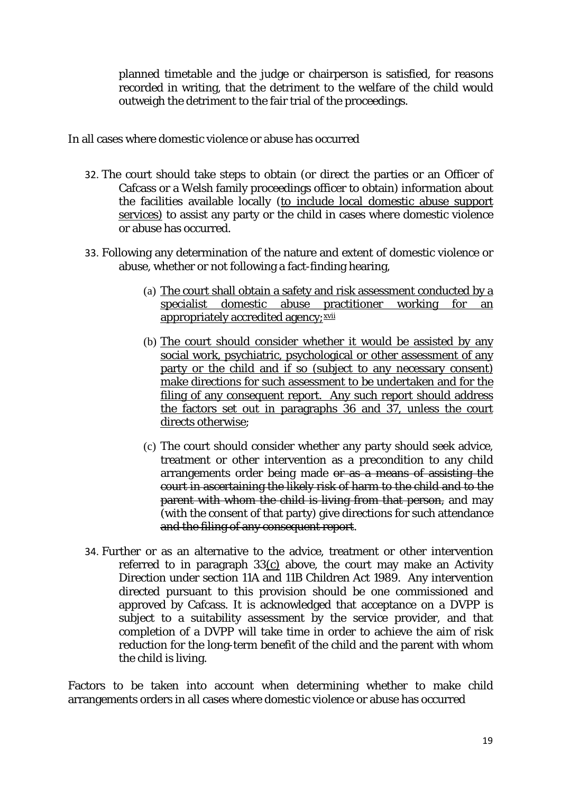planned timetable and the judge or chairperson is satisfied, for reasons recorded in writing, that the detriment to the welfare of the child would outweigh the detriment to the fair trial of the proceedings.

In all cases where domestic violence or abuse has occurred

- 32. The court should take steps to obtain (or direct the parties or an Officer of Cafcass or a Welsh family proceedings officer to obtain) information about the facilities available locally (to include local domestic abuse support services) to assist any party or the child in cases where domestic violence or abuse has occurred.
- 33. Following any determination of the nature and extent of domestic violence or abuse, whether or not following a fact-finding hearing,
	- (a) The court shall obtain a safety and risk assessment conducted by a specialist domestic abuse practitioner working for an appropriately accredited agency; [xvii](#page-21-12)
	- (b) The court should consider whether it would be assisted by any social work, psychiatric, psychological or other assessment of any party or the child and if so (subject to any necessary consent) make directions for such assessment to be undertaken and for the filing of any consequent report. Any such report should address the factors set out in paragraphs 36 and 37, unless the court directs otherwise;
	- (c) The court should consider whether any party should seek advice, treatment or other intervention as a precondition to any child arrangements order being made or as a means of assisting the court in ascertaining the likely risk of harm to the child and to the parent with whom the child is living from that person, and may (with the consent of that party) give directions for such attendance and the filing of any consequent report.
- 34. Further or as an alternative to the advice, treatment or other intervention referred to in paragraph 33(c) above, the court may make an Activity Direction under section 11A and 11B Children Act 1989. Any intervention directed pursuant to this provision should be one commissioned and approved by Cafcass. It is acknowledged that acceptance on a DVPP is subject to a suitability assessment by the service provider, and that completion of a DVPP will take time in order to achieve the aim of risk reduction for the long-term benefit of the child and the parent with whom the child is living.

Factors to be taken into account when determining whether to make child arrangements orders in all cases where domestic violence or abuse has occurred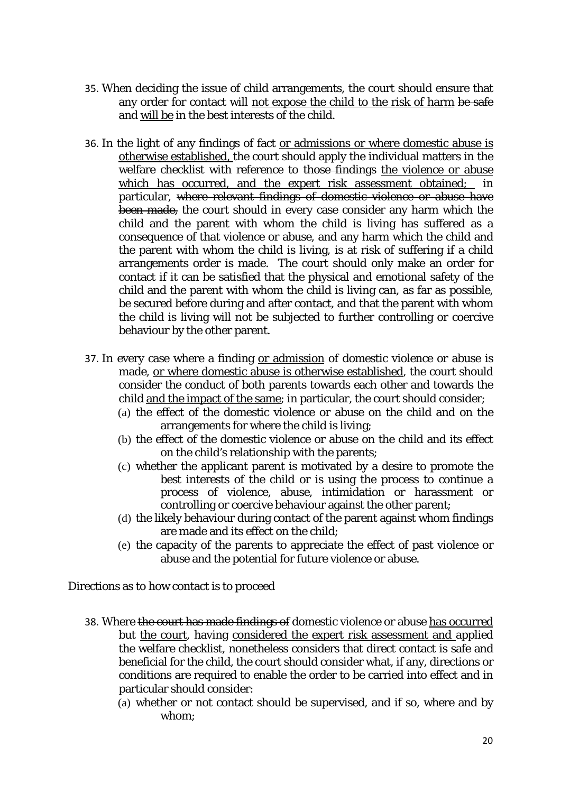- 35. When deciding the issue of child arrangements, the court should ensure that any order for contact will not expose the child to the risk of harm be safe and will be in the best interests of the child.
- 36. In the light of any findings of fact or admissions or where domestic abuse is otherwise established, the court should apply the individual matters in the welfare checklist with reference to those findings the violence or abuse which has occurred, and the expert risk assessment obtained; in particular, where relevant findings of domestic violence or abuse have been made, the court should in every case consider any harm which the child and the parent with whom the child is living has suffered as a consequence of that violence or abuse, and any harm which the child and the parent with whom the child is living, is at risk of suffering if a child arrangements order is made. The court should only make an order for contact if it can be satisfied that the physical and emotional safety of the child and the parent with whom the child is living can, as far as possible, be secured before during and after contact, and that the parent with whom the child is living will not be subjected to further controlling or coercive behaviour by the other parent.
- 37. In every case where a finding or admission of domestic violence or abuse is made, or where domestic abuse is otherwise established, the court should consider the conduct of both parents towards each other and towards the child and the impact of the same; in particular, the court should consider;
	- (a) the effect of the domestic violence or abuse on the child and on the arrangements for where the child is living;
	- (b) the effect of the domestic violence or abuse on the child and its effect on the child's relationship with the parents;
	- (c) whether the applicant parent is motivated by a desire to promote the best interests of the child or is using the process to continue a process of violence, abuse, intimidation or harassment or controlling or coercive behaviour against the other parent;
	- (d) the likely behaviour during contact of the parent against whom findings are made and its effect on the child;
	- (e) the capacity of the parents to appreciate the effect of past violence or abuse and the potential for future violence or abuse.

Directions as to how contact is to proceed

- 38. Where the court has made findings of domestic violence or abuse has occurred but the court, having considered the expert risk assessment and applied the welfare checklist, nonetheless considers that direct contact is safe and beneficial for the child, the court should consider what, if any, directions or conditions are required to enable the order to be carried into effect and in particular should consider:
	- (a) whether or not contact should be supervised, and if so, where and by whom;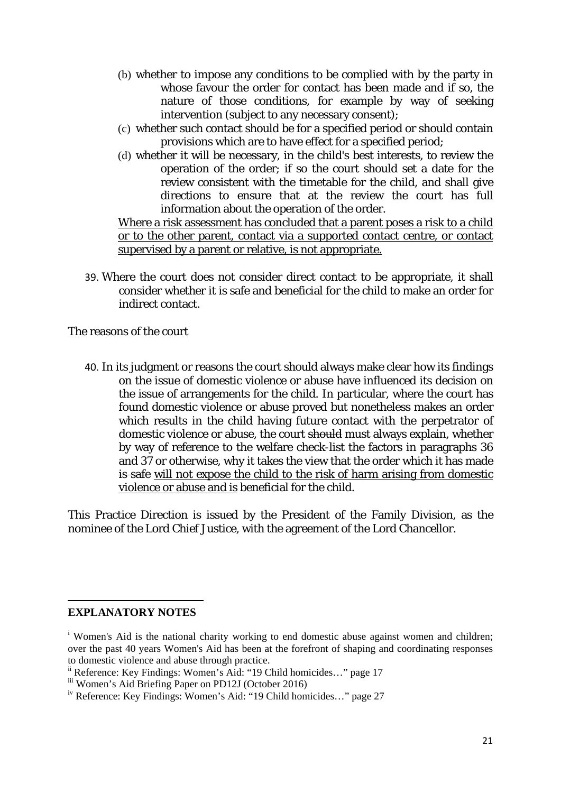- (b) whether to impose any conditions to be complied with by the party in whose favour the order for contact has been made and if so, the nature of those conditions, for example by way of seeking intervention (subject to any necessary consent);
- (c) whether such contact should be for a specified period or should contain provisions which are to have effect for a specified period;
- (d) whether it will be necessary, in the child's best interests, to review the operation of the order; if so the court should set a date for the review consistent with the timetable for the child, and shall give directions to ensure that at the review the court has full information about the operation of the order.

Where a risk assessment has concluded that a parent poses a risk to a child or to the other parent, contact via a supported contact centre, or contact supervised by a parent or relative, is not appropriate.

39. Where the court does not consider direct contact to be appropriate, it shall consider whether it is safe and beneficial for the child to make an order for indirect contact.

The reasons of the court

40. In its judgment or reasons the court should always make clear how its findings on the issue of domestic violence or abuse have influenced its decision on the issue of arrangements for the child. In particular, where the court has found domestic violence or abuse proved but nonetheless makes an order which results in the child having future contact with the perpetrator of domestic violence or abuse, the court should must always explain, whether by way of reference to the welfare check-list the factors in paragraphs 36 and 37 or otherwise, why it takes the view that the order which it has made is safe will not expose the child to the risk of harm arising from domestic violence or abuse and is beneficial for the child.

This Practice Direction is issued by the President of the Family Division, as the nominee of the Lord Chief Justice, with the agreement of the Lord Chancellor.

#### <span id="page-20-0"></span> **EXPLANATORY NOTES**

<sup>&</sup>lt;sup>i</sup> Women's Aid is the national charity working to end domestic abuse against women and children; over the past 40 years Women's Aid has been at the forefront of shaping and coordinating responses to domestic violence and abuse through practice.

<span id="page-20-1"></span>ii Reference: Key Findings: Women's Aid: "19 Child homicides…" page 17

<span id="page-20-2"></span>iii Women's Aid Briefing Paper on PD12J (October 2016)

<span id="page-20-3"></span>iv Reference: Key Findings: Women's Aid: "19 Child homicides…" page 27